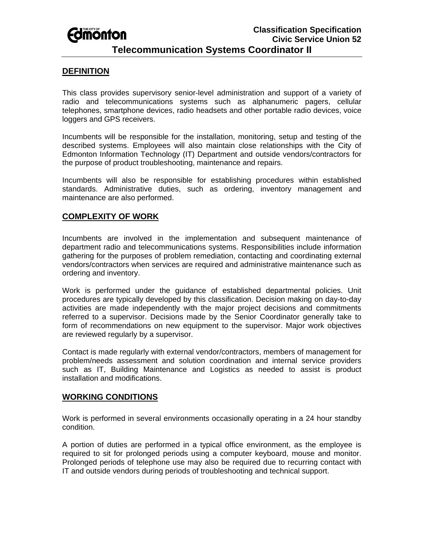# **Edimonton**

## **Telecommunication Systems Coordinator II**

#### **DEFINITION**

This class provides supervisory senior-level administration and support of a variety of radio and telecommunications systems such as alphanumeric pagers, cellular telephones, smartphone devices, radio headsets and other portable radio devices, voice loggers and GPS receivers.

Incumbents will be responsible for the installation, monitoring, setup and testing of the described systems. Employees will also maintain close relationships with the City of Edmonton Information Technology (IT) Department and outside vendors/contractors for the purpose of product troubleshooting, maintenance and repairs.

Incumbents will also be responsible for establishing procedures within established standards. Administrative duties, such as ordering, inventory management and maintenance are also performed.

#### **COMPLEXITY OF WORK**

Incumbents are involved in the implementation and subsequent maintenance of department radio and telecommunications systems. Responsibilities include information gathering for the purposes of problem remediation, contacting and coordinating external vendors/contractors when services are required and administrative maintenance such as ordering and inventory.

Work is performed under the guidance of established departmental policies. Unit procedures are typically developed by this classification. Decision making on day-to-day activities are made independently with the major project decisions and commitments referred to a supervisor. Decisions made by the Senior Coordinator generally take to form of recommendations on new equipment to the supervisor. Major work objectives are reviewed regularly by a supervisor.

Contact is made regularly with external vendor/contractors, members of management for problem/needs assessment and solution coordination and internal service providers such as IT, Building Maintenance and Logistics as needed to assist is product installation and modifications.

#### **WORKING CONDITIONS**

Work is performed in several environments occasionally operating in a 24 hour standby condition.

A portion of duties are performed in a typical office environment, as the employee is required to sit for prolonged periods using a computer keyboard, mouse and monitor. Prolonged periods of telephone use may also be required due to recurring contact with IT and outside vendors during periods of troubleshooting and technical support.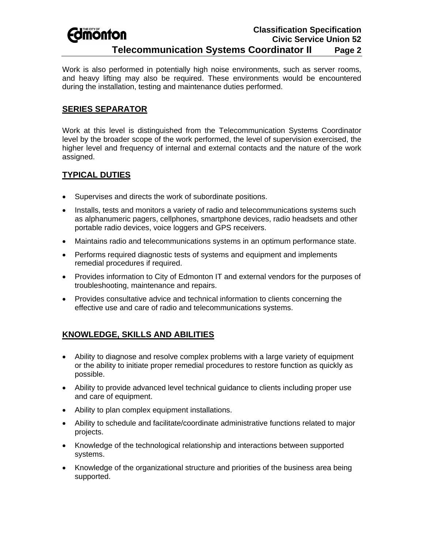#### **Classification Specification Fdmonton Civic Service Union 52 Telecommunication Systems Coordinator II Page 2**

Work is also performed in potentially high noise environments, such as server rooms, and heavy lifting may also be required. These environments would be encountered during the installation, testing and maintenance duties performed.

#### **SERIES SEPARATOR**

Work at this level is distinguished from the Telecommunication Systems Coordinator level by the broader scope of the work performed, the level of supervision exercised, the higher level and frequency of internal and external contacts and the nature of the work assigned.

### **TYPICAL DUTIES**

- Supervises and directs the work of subordinate positions.
- Installs, tests and monitors a variety of radio and telecommunications systems such as alphanumeric pagers, cellphones, smartphone devices, radio headsets and other portable radio devices, voice loggers and GPS receivers.
- Maintains radio and telecommunications systems in an optimum performance state.
- Performs required diagnostic tests of systems and equipment and implements remedial procedures if required.
- Provides information to City of Edmonton IT and external vendors for the purposes of troubleshooting, maintenance and repairs.
- Provides consultative advice and technical information to clients concerning the effective use and care of radio and telecommunications systems.

# **KNOWLEDGE, SKILLS AND ABILITIES**

- Ability to diagnose and resolve complex problems with a large variety of equipment or the ability to initiate proper remedial procedures to restore function as quickly as possible.
- Ability to provide advanced level technical guidance to clients including proper use and care of equipment.
- Ability to plan complex equipment installations.
- Ability to schedule and facilitate/coordinate administrative functions related to major projects.
- Knowledge of the technological relationship and interactions between supported systems.
- Knowledge of the organizational structure and priorities of the business area being supported.